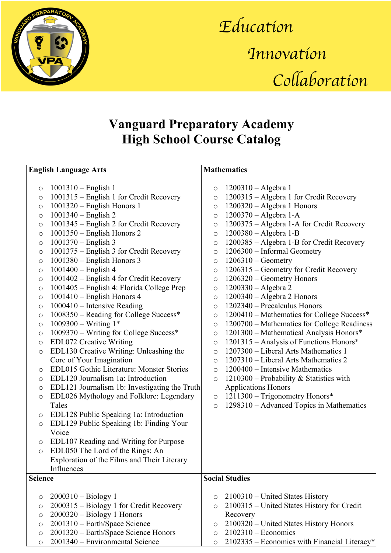

## *Education Innovation Collaboration*

## **Vanguard Preparatory Academy High School Course Catalog**

| <b>English Language Arts</b> |                                                              | <b>Mathematics</b>                                           |  |
|------------------------------|--------------------------------------------------------------|--------------------------------------------------------------|--|
|                              |                                                              |                                                              |  |
| $\circ$                      | $1001310 -$ English 1                                        | $1200310 - Algebra 1$<br>$\circ$                             |  |
| $\circ$                      | 1001315 – English 1 for Credit Recovery                      | 1200315 – Algebra 1 for Credit Recovery<br>$\circ$           |  |
| $\circ$                      | $1001320$ – English Honors 1                                 | $1200320 - Algebra 1 Honors$<br>$\circ$                      |  |
| $\circ$                      | $1001340 -$ English 2                                        | $1200370 - Algebra 1-A$<br>$\circ$                           |  |
| $\circ$                      | 1001345 – English 2 for Credit Recovery                      | 1200375 – Algebra 1-A for Credit Recovery<br>$\circ$         |  |
| $\circ$                      | $1001350$ – English Honors 2                                 | $1200380 - Algebra 1-B$<br>$\circ$                           |  |
| $\circ$                      | $1001370 -$ English 3                                        | 1200385 - Algebra 1-B for Credit Recovery<br>$\circ$         |  |
| $\circ$                      | 1001375 – English 3 for Credit Recovery                      | 1206300 - Informal Geometry<br>$\circ$                       |  |
| $\circ$                      | $1001380$ – English Honors 3                                 | $1206310 - Geometry$<br>$\circ$                              |  |
| $\circ$                      | $1001400 -$ English 4                                        | 1206315 - Geometry for Credit Recovery<br>$\circ$            |  |
| $\circ$                      | 1001402 - English 4 for Credit Recovery                      | 1206320 – Geometry Honors<br>$\circ$                         |  |
| $\circ$                      | 1001405 - English 4: Florida College Prep                    | $1200330 - Algebra 2$<br>$\circ$                             |  |
| $\circ$                      | 1001410 - English Honors 4                                   | $1200340 - Algebra 2 Honors$<br>$\circ$                      |  |
| $\circ$                      | $1000410$ – Intensive Reading                                | 1202340 - Precalculus Honors<br>$\circ$                      |  |
| $\circ$                      | 1008350 – Reading for College Success*                       | 1200410 - Mathematics for College Success*<br>$\circ$        |  |
| $\circ$                      | $1009300 - Writing 1*$                                       | 1200700 – Mathematics for College Readiness<br>$\circ$       |  |
| $\circ$                      | 1009370 - Writing for College Success*                       | 1201300 - Mathematical Analysis Honors*<br>$\circ$           |  |
| $\circ$                      | <b>EDL072 Creative Writing</b>                               | 1201315 - Analysis of Functions Honors*<br>$\circ$           |  |
| $\circ$                      | EDL130 Creative Writing: Unleashing the                      | 1207300 - Liberal Arts Mathematics 1<br>$\circ$              |  |
|                              | Core of Your Imagination                                     | 1207310 – Liberal Arts Mathematics 2<br>$\circ$              |  |
| $\circ$                      | EDL015 Gothic Literature: Monster Stories                    | 1200400 - Intensive Mathematics<br>$\circ$                   |  |
| $\circ$                      | EDL120 Journalism 1a: Introduction                           | 1210300 – Probability & Statistics with<br>$\circ$           |  |
| $\circ$                      | EDL121 Journalism 1b: Investigating the Truth                | <b>Applications Honors</b>                                   |  |
| $\circ$                      | EDL026 Mythology and Folklore: Legendary                     | 1211300 - Trigonometry Honors*<br>$\circ$                    |  |
|                              | Tales                                                        | 1298310 - Advanced Topics in Mathematics<br>$\circ$          |  |
| $\circ$                      | EDL128 Public Speaking 1a: Introduction                      |                                                              |  |
| $\circ$                      | EDL129 Public Speaking 1b: Finding Your                      |                                                              |  |
|                              | Voice                                                        |                                                              |  |
| $\circ$                      | EDL107 Reading and Writing for Purpose                       |                                                              |  |
| $\circ$                      | EDL050 The Lord of the Rings: An                             |                                                              |  |
|                              | Exploration of the Films and Their Literary                  |                                                              |  |
|                              | Influences                                                   |                                                              |  |
| <b>Science</b>               |                                                              | <b>Social Studies</b>                                        |  |
|                              |                                                              |                                                              |  |
| O                            | $2000310 - Biology1$                                         | 2100310 - United States History<br>O                         |  |
| O                            | 2000315 – Biology 1 for Credit Recovery                      | 2100315 – United States History for Credit<br>O              |  |
| O                            | $2000320 - Biology1$ Honors<br>2001310 - Earth/Space Science | Recovery<br>2100320 - United States History Honors           |  |
| O                            | 2001320 - Earth/Space Science Honors                         | O<br>$2102310 - Economics$                                   |  |
| O<br>$\circ$                 | 2001340 – Environmental Science                              | O<br>2102335 - Economics with Financial Literacy*<br>$\circ$ |  |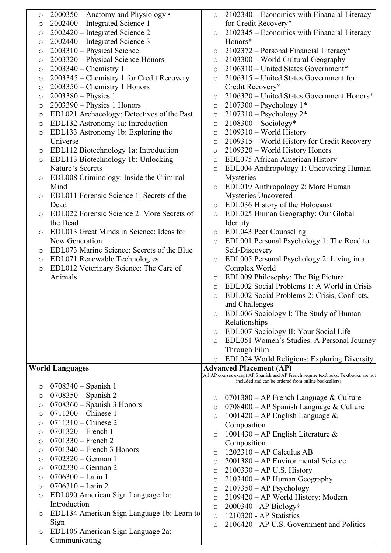| 2000350 - Anatomy and Physiology •<br>$\circ$        | 2102340 – Economics with Financial Literacy<br>$\circ$                                                                 |
|------------------------------------------------------|------------------------------------------------------------------------------------------------------------------------|
| 2002400 – Integrated Science 1<br>O                  | for Credit Recovery*                                                                                                   |
| 2002420 – Integrated Science 2                       | 2102345 – Economics with Financial Literacy                                                                            |
| $\circ$<br>2002440 - Integrated Science 3            | $\circ$<br>Honors*                                                                                                     |
| O                                                    |                                                                                                                        |
| 2003310 - Physical Science<br>O                      | 2102372 – Personal Financial Literacy*<br>$\circ$                                                                      |
| 2003320 - Physical Science Honors<br>$\circ$         | 2103300 - World Cultural Geography<br>$\circ$                                                                          |
| $2003340$ – Chemistry 1<br>$\circ$                   | 2106310 - United States Government*<br>$\circ$                                                                         |
| 2003345 - Chemistry 1 for Credit Recovery<br>$\circ$ | 2106315 – United States Government for<br>$\circ$                                                                      |
| 2003350 - Chemistry 1 Honors<br>$\circ$              | Credit Recovery*                                                                                                       |
| $2003380$ – Physics 1<br>$\circ$                     | 2106320 - United States Government Honors*<br>$\circ$                                                                  |
| 2003390 - Physics 1 Honors<br>$\circ$                | $2107300 - Psychology1*$<br>$\circ$                                                                                    |
| EDL021 Archaeology: Detectives of the Past<br>O      | $2107310 - Psychology 2*$<br>$\circ$                                                                                   |
| EDL132 Astronomy 1a: Introduction<br>$\circ$         | $2108300 - $ Sociology*<br>$\circ$                                                                                     |
| EDL133 Astronomy 1b: Exploring the<br>$\circ$        | 2109310 - World History<br>$\circ$                                                                                     |
| Universe                                             | 2109315 – World History for Credit Recovery<br>$\circ$                                                                 |
| EDL112 Biotechnology 1a: Introduction<br>$\circ$     | 2109320 - World History Honors<br>$\circ$                                                                              |
| EDL113 Biotechnology 1b: Unlocking<br>$\circ$        | EDL075 African American History<br>$\circ$                                                                             |
| Nature's Secrets                                     | EDL004 Anthropology 1: Uncovering Human<br>$\circ$                                                                     |
| EDL008 Criminology: Inside the Criminal<br>$\circ$   | Mysteries                                                                                                              |
| Mind                                                 |                                                                                                                        |
| EDL011 Forensic Science 1: Secrets of the            | EDL019 Anthropology 2: More Human<br>$\circ$<br>Mysteries Uncovered                                                    |
| $\circ$                                              |                                                                                                                        |
| Dead                                                 | EDL036 History of the Holocaust<br>$\circ$                                                                             |
| EDL022 Forensic Science 2: More Secrets of<br>O      | EDL025 Human Geography: Our Global<br>$\circ$                                                                          |
| the Dead                                             | Identity                                                                                                               |
| EDL013 Great Minds in Science: Ideas for<br>$\circ$  | EDL043 Peer Counseling<br>$\circ$                                                                                      |
| New Generation                                       | EDL001 Personal Psychology 1: The Road to<br>$\circ$                                                                   |
| EDL073 Marine Science: Secrets of the Blue<br>O      | Self-Discovery                                                                                                         |
| EDL071 Renewable Technologies<br>$\circ$             | EDL005 Personal Psychology 2: Living in a<br>$\circ$                                                                   |
| EDL012 Veterinary Science: The Care of<br>$\circ$    | Complex World                                                                                                          |
| Animals                                              | EDL009 Philosophy: The Big Picture<br>$\circ$                                                                          |
|                                                      | EDL002 Social Problems 1: A World in Crisis<br>$\circ$                                                                 |
|                                                      | EDL002 Social Problems 2: Crisis, Conflicts,<br>$\circ$                                                                |
|                                                      | and Challenges                                                                                                         |
|                                                      | EDL006 Sociology I: The Study of Human<br>$\circ$                                                                      |
|                                                      | Relationships                                                                                                          |
|                                                      | EDL007 Sociology II: Your Social Life<br>$\circ$                                                                       |
|                                                      | EDL051 Women's Studies: A Personal Journey<br>$\circ$                                                                  |
|                                                      | Through Film                                                                                                           |
|                                                      | EDL024 World Religions: Exploring Diversity                                                                            |
|                                                      | $\circ$                                                                                                                |
| <b>World Languages</b>                               | <b>Advanced Placement (AP)</b><br>(All AP courses except AP Spanish and AP French require textbooks. Textbooks are not |
|                                                      | included and can be ordered from online booksellers)                                                                   |
| $0708340 - Spanish$ 1<br>O                           |                                                                                                                        |
| $0708350 - Spanish 2$<br>$\circ$                     | 0701380 – AP French Language $&$ Culture<br>O                                                                          |
| 0708360 - Spanish 3 Honors<br>O                      | 0708400 – AP Spanish Language & Culture<br>O                                                                           |
| $0711300$ – Chinese 1<br>O                           | 1001420 – AP English Language $\&$<br>$\circ$                                                                          |
| $0711310$ – Chinese 2<br>O                           | Composition                                                                                                            |
| $0701320 -$ French 1<br>O                            | 1001430 – AP English Literature $\&$<br>$\circ$                                                                        |
| $0701330 -$ French 2<br>O                            | Composition                                                                                                            |
| $0701340$ – French 3 Honors<br>O                     | $1202310 - AP$ Calculus AB<br>$\circ$                                                                                  |
| $0702320 - German$ 1<br>O                            | 2001380 – AP Environmental Science<br>$\circ$                                                                          |
| $0702330 - German$ 2<br>O                            | $2100330 - AP$ U.S. History<br>$\circ$                                                                                 |
| $0706300 -$ Latin 1<br>O                             | $2103400 - AP$ Human Geography<br>$\circ$                                                                              |
| $0706310 - Latin$ 2<br>$\circ$                       | $2107350 - AP$ Psychology                                                                                              |
| EDL090 American Sign Language 1a:<br>$\circ$         | $\circ$                                                                                                                |
| Introduction                                         | 2109420 - AP World History: Modern<br>$\circ$                                                                          |
| EDL134 American Sign Language 1b: Learn to<br>O      | $2000340$ - AP Biology†<br>$\circ$                                                                                     |
| Sign                                                 | 1210320 - AP Statistics<br>$\circ$                                                                                     |
|                                                      | 2106420 - AP U.S. Government and Politics<br>$\circ$                                                                   |
| EDL106 American Sign Language 2a:<br>$\circ$         |                                                                                                                        |
| Communicating                                        |                                                                                                                        |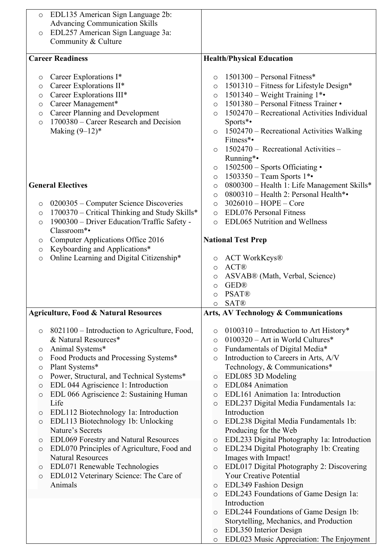| EDL135 American Sign Language 2b:<br>$\circ$             |                                                                                                  |
|----------------------------------------------------------|--------------------------------------------------------------------------------------------------|
| Advancing Communication Skills                           |                                                                                                  |
| EDL257 American Sign Language 3a:<br>$\circ$             |                                                                                                  |
| Community & Culture                                      |                                                                                                  |
| <b>Career Readiness</b>                                  | <b>Health/Physical Education</b>                                                                 |
|                                                          |                                                                                                  |
| Career Explorations I*<br>O                              | $1501300$ – Personal Fitness*<br>$\circ$                                                         |
| Career Explorations II*<br>$\circ$                       | 1501310 – Fitness for Lifestyle Design*<br>$\circ$                                               |
| Career Explorations III*<br>O                            | $1501340$ – Weight Training $1**$<br>$\circ$                                                     |
| Career Management*<br>O                                  | 1501380 – Personal Fitness Trainer •<br>$\circ$                                                  |
| Career Planning and Development<br>O                     | 1502470 – Recreational Activities Individual<br>$\circ$                                          |
| 1700380 – Career Research and Decision<br>$\circ$        | Sports*•                                                                                         |
| Making $(9-12)^*$                                        | 1502470 – Recreational Activities Walking<br>$\circ$<br>Fitness*•                                |
|                                                          | 1502470 - Recreational Activities -<br>$\circ$                                                   |
|                                                          | Running*•                                                                                        |
|                                                          | $1502500$ – Sports Officiating •<br>$\circ$                                                      |
|                                                          | $1503350 - Team$ Sports 1*•<br>$\circ$                                                           |
| <b>General Electives</b>                                 | 0800300 - Health 1: Life Management Skills*<br>O                                                 |
|                                                          | 0800310 - Health 2: Personal Health*•<br>$\circ$                                                 |
| 0200305 – Computer Science Discoveries<br>O              | $3026010 - HOPE - Core$<br>$\circ$                                                               |
| 1700370 - Critical Thinking and Study Skills*<br>$\circ$ | <b>EDL076 Personal Fitness</b><br>$\circ$                                                        |
| 1900300 - Driver Education/Traffic Safety -<br>$\circ$   | <b>EDL065 Nutrition and Wellness</b><br>$\circ$                                                  |
| Classroom*•                                              |                                                                                                  |
| Computer Applications Office 2016<br>$\circ$             | <b>National Test Prep</b>                                                                        |
| Keyboarding and Applications*<br>O                       |                                                                                                  |
| Online Learning and Digital Citizenship*<br>$\circ$      | <b>ACT WorkKeys®</b><br>$\circ$                                                                  |
|                                                          | <b>ACT®</b><br>$\circ$                                                                           |
|                                                          | ASVAB® (Math, Verbal, Science)<br>O                                                              |
|                                                          | <b>GED®</b><br>$\circ$<br><b>PSAT®</b>                                                           |
|                                                          | $\circ$<br><b>SAT®</b>                                                                           |
| <b>Agriculture, Food &amp; Natural Resources</b>         | Arts, AV Technology & Communications                                                             |
|                                                          |                                                                                                  |
| 8021100 – Introduction to Agriculture, Food,<br>$\circ$  | $0100310$ – Introduction to Art History*<br>O                                                    |
| & Natural Resources*                                     | 0100320 - Art in World Cultures*<br>$\circ$                                                      |
| Animal Systems*<br>O                                     | Fundamentals of Digital Media*<br>O                                                              |
| Food Products and Processing Systems*<br>$\circ$         | Introduction to Careers in Arts, A/V<br>$\circ$                                                  |
| Plant Systems*<br>O                                      | Technology, & Communications*                                                                    |
| Power, Structural, and Technical Systems*<br>O           | EDL085 3D Modeling<br>$\circ$                                                                    |
| EDL 044 Agriscience 1: Introduction<br>$\circ$           | <b>EDL084</b> Animation<br>$\circ$                                                               |
| EDL 066 Agriscience 2: Sustaining Human<br>O<br>Life     | EDL161 Animation 1a: Introduction<br>$\circ$<br>EDL237 Digital Media Fundamentals 1a:<br>$\circ$ |
| EDL112 Biotechnology 1a: Introduction<br>$\circ$         | Introduction                                                                                     |
| EDL113 Biotechnology 1b: Unlocking<br>$\circ$            | EDL238 Digital Media Fundamentals 1b:<br>$\circ$                                                 |
| Nature's Secrets                                         | Producing for the Web                                                                            |
| EDL069 Forestry and Natural Resources<br>$\circ$         | EDL233 Digital Photography 1a: Introduction<br>$\circ$                                           |
| EDL070 Principles of Agriculture, Food and<br>$\circ$    | EDL234 Digital Photography 1b: Creating<br>$\circ$                                               |
| <b>Natural Resources</b>                                 | Images with Impact!                                                                              |
| EDL071 Renewable Technologies<br>$\circ$                 | EDL017 Digital Photography 2: Discovering<br>$\circ$                                             |
| EDL012 Veterinary Science: The Care of<br>$\circ$        | <b>Your Creative Potential</b>                                                                   |
| Animals                                                  | EDL349 Fashion Design<br>$\circ$                                                                 |
|                                                          | EDL243 Foundations of Game Design 1a:<br>$\circ$                                                 |
|                                                          | Introduction                                                                                     |
|                                                          | EDL244 Foundations of Game Design 1b:<br>$\circ$                                                 |
|                                                          | Storytelling, Mechanics, and Production                                                          |
|                                                          | EDL350 Interior Design<br>$\circ$                                                                |
|                                                          | EDL023 Music Appreciation: The Enjoyment<br>$\circ$                                              |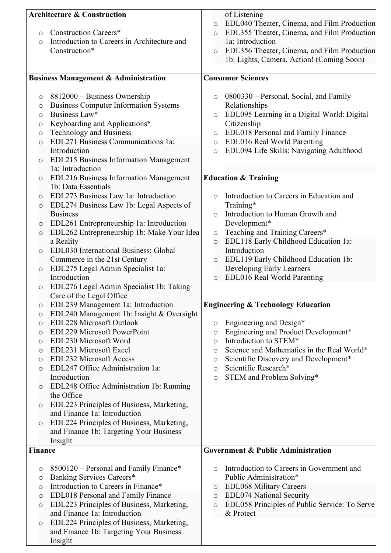| <b>Architecture &amp; Construction</b>                                                                                                                                                                                                                                                     |                                                                                                                                                                                                                                                                                                                                                                                                                                                                                                                                                                                                                                                                                                                                                                                                                                                                                                                                                                                                                                                                                                                                                                                                                                                                                                                          | of Listening                                                                                                                                                                                                                                                                                                                                                                                                                                                                                                                                                                                                                                                                                                                                                                                                                                                                                                                                                                                                                                                                                                                    |
|--------------------------------------------------------------------------------------------------------------------------------------------------------------------------------------------------------------------------------------------------------------------------------------------|--------------------------------------------------------------------------------------------------------------------------------------------------------------------------------------------------------------------------------------------------------------------------------------------------------------------------------------------------------------------------------------------------------------------------------------------------------------------------------------------------------------------------------------------------------------------------------------------------------------------------------------------------------------------------------------------------------------------------------------------------------------------------------------------------------------------------------------------------------------------------------------------------------------------------------------------------------------------------------------------------------------------------------------------------------------------------------------------------------------------------------------------------------------------------------------------------------------------------------------------------------------------------------------------------------------------------|---------------------------------------------------------------------------------------------------------------------------------------------------------------------------------------------------------------------------------------------------------------------------------------------------------------------------------------------------------------------------------------------------------------------------------------------------------------------------------------------------------------------------------------------------------------------------------------------------------------------------------------------------------------------------------------------------------------------------------------------------------------------------------------------------------------------------------------------------------------------------------------------------------------------------------------------------------------------------------------------------------------------------------------------------------------------------------------------------------------------------------|
| $\circ$<br>$\circ$                                                                                                                                                                                                                                                                         | Construction Careers*<br>Introduction to Careers in Architecture and<br>Construction*                                                                                                                                                                                                                                                                                                                                                                                                                                                                                                                                                                                                                                                                                                                                                                                                                                                                                                                                                                                                                                                                                                                                                                                                                                    | EDL040 Theater, Cinema, and Film Production<br>$\circ$<br>EDL355 Theater, Cinema, and Film Production<br>$\circ$<br>1a: Introduction<br>EDL356 Theater, Cinema, and Film Production<br>$\circ$<br>1b: Lights, Camera, Action! (Coming Soon)                                                                                                                                                                                                                                                                                                                                                                                                                                                                                                                                                                                                                                                                                                                                                                                                                                                                                     |
|                                                                                                                                                                                                                                                                                            | <b>Business Management &amp; Administration</b>                                                                                                                                                                                                                                                                                                                                                                                                                                                                                                                                                                                                                                                                                                                                                                                                                                                                                                                                                                                                                                                                                                                                                                                                                                                                          | <b>Consumer Sciences</b>                                                                                                                                                                                                                                                                                                                                                                                                                                                                                                                                                                                                                                                                                                                                                                                                                                                                                                                                                                                                                                                                                                        |
| $\circ$<br>O<br>$\circ$<br>$\circ$<br>$\circ$<br>$\circ$<br>$\circ$<br>$\circ$<br>$\circ$<br>$\circ$<br>$\circ$<br>$\circ$<br>$\circ$<br>$\circ$<br>$\circ$<br>O<br>$\circ$<br>$\circ$<br>$\circ$<br>O<br>$\circ$<br>$\circ$<br>$\circ$<br>$\circ$<br>$\circ$<br>$\circ$<br><b>Finance</b> | 8812000 - Business Ownership<br><b>Business Computer Information Systems</b><br>Business Law*<br>Keyboarding and Applications*<br><b>Technology and Business</b><br>EDL271 Business Communications 1a:<br>Introduction<br><b>EDL215 Business Information Management</b><br>1a: Introduction<br>EDL216 Business Information Management<br>1b: Data Essentials<br>EDL273 Business Law 1a: Introduction<br>EDL274 Business Law 1b: Legal Aspects of<br><b>Business</b><br>EDL261 Entrepreneurship 1a: Introduction<br>EDL262 Entrepreneurship 1b: Make Your Idea<br>a Reality<br>EDL030 International Business: Global<br>Commerce in the 21st Century<br>EDL275 Legal Admin Specialist 1a:<br>Introduction<br>EDL276 Legal Admin Specialist 1b: Taking<br>Care of the Legal Office<br>EDL239 Management 1a: Introduction<br>EDL240 Management 1b: Insight & Oversight<br><b>EDL228 Microsoft Outlook</b><br>EDL229 Microsoft PowerPoint<br>EDL230 Microsoft Word<br>EDL231 Microsoft Excel<br><b>EDL232 Microsoft Access</b><br>EDL247 Office Administration 1a:<br>Introduction<br>EDL248 Office Administration 1b: Running<br>the Office<br>EDL223 Principles of Business, Marketing,<br>and Finance 1a: Introduction<br>EDL224 Principles of Business, Marketing,<br>and Finance 1b: Targeting Your Business<br>Insight | 0800330 - Personal, Social, and Family<br>$\circ$<br>Relationships<br>EDL095 Learning in a Digital World: Digital<br>$\circ$<br>Citizenship<br><b>EDL018</b> Personal and Family Finance<br>$\circ$<br>EDL016 Real World Parenting<br>$\circ$<br>EDL094 Life Skills: Navigating Adulthood<br>$\circ$<br><b>Education &amp; Training</b><br>Introduction to Careers in Education and<br>$\circ$<br>Training*<br>Introduction to Human Growth and<br>$\circ$<br>Development*<br>Teaching and Training Careers*<br>$\circ$<br>EDL118 Early Childhood Education 1a:<br>$\circ$<br>Introduction<br>EDL119 Early Childhood Education 1b:<br>$\circ$<br>Developing Early Learners<br>EDL016 Real World Parenting<br>$\circ$<br><b>Engineering &amp; Technology Education</b><br>Engineering and Design*<br>$\circ$<br>Engineering and Product Development*<br>$\circ$<br>Introduction to STEM*<br>$\circ$<br>Science and Mathematics in the Real World*<br>O<br>Scientific Discovery and Development*<br>O<br>Scientific Research*<br>$\circ$<br>STEM and Problem Solving*<br>$\circ$<br><b>Government &amp; Public Administration</b> |
|                                                                                                                                                                                                                                                                                            |                                                                                                                                                                                                                                                                                                                                                                                                                                                                                                                                                                                                                                                                                                                                                                                                                                                                                                                                                                                                                                                                                                                                                                                                                                                                                                                          |                                                                                                                                                                                                                                                                                                                                                                                                                                                                                                                                                                                                                                                                                                                                                                                                                                                                                                                                                                                                                                                                                                                                 |
| O<br>$\circ$<br>$\circ$<br>$\circ$<br>$\circ$<br>$\circ$                                                                                                                                                                                                                                   | 8500120 – Personal and Family Finance*<br>Banking Services Careers*<br>Introduction to Careers in Finance*<br><b>EDL018 Personal and Family Finance</b><br>EDL223 Principles of Business, Marketing,<br>and Finance 1a: Introduction<br>EDL224 Principles of Business, Marketing,<br>and Finance 1b: Targeting Your Business<br>Insight                                                                                                                                                                                                                                                                                                                                                                                                                                                                                                                                                                                                                                                                                                                                                                                                                                                                                                                                                                                  | Introduction to Careers in Government and<br>$\circ$<br>Public Administration*<br><b>EDL068 Military Careers</b><br>$\circ$<br><b>EDL074 National Security</b><br>$\circ$<br>EDL058 Principles of Public Service: To Serve<br>$\circ$<br>& Protect                                                                                                                                                                                                                                                                                                                                                                                                                                                                                                                                                                                                                                                                                                                                                                                                                                                                              |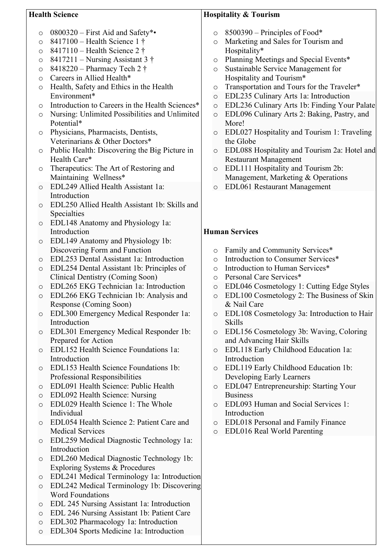| <b>Health Science</b> |                                                 | <b>Hospitality &amp; Tourism</b> |                                              |  |
|-----------------------|-------------------------------------------------|----------------------------------|----------------------------------------------|--|
|                       | $0800320$ – First Aid and Safety*•              |                                  | $8500390$ – Principles of Food*              |  |
| $\circ$               |                                                 | $\circ$                          |                                              |  |
| O                     | 8417100 – Health Science 1 $\dagger$            | $\circ$                          | Marketing and Sales for Tourism and          |  |
| O                     | 8417110 – Health Science 2 $\dagger$            |                                  | Hospitality*                                 |  |
| O                     | 8417211 – Nursing Assistant 3 $\dagger$         | $\circ$                          | Planning Meetings and Special Events*        |  |
| O                     | 8418220 - Pharmacy Tech 2 †                     | $\circ$                          | Sustainable Service Management for           |  |
| O                     | Careers in Allied Health*                       |                                  | Hospitality and Tourism*                     |  |
| $\circ$               | Health, Safety and Ethics in the Health         | $\circ$                          | Transportation and Tours for the Traveler*   |  |
|                       | Environment*                                    | $\circ$                          | EDL235 Culinary Arts 1a: Introduction        |  |
| $\circ$               | Introduction to Careers in the Health Sciences* | $\circ$                          | EDL236 Culinary Arts 1b: Finding Your Palate |  |
| O                     | Nursing: Unlimited Possibilities and Unlimited  | $\circ$                          | EDL096 Culinary Arts 2: Baking, Pastry, and  |  |
|                       | Potential*                                      |                                  | More!                                        |  |
| $\circ$               | Physicians, Pharmacists, Dentists,              | $\circ$                          | EDL027 Hospitality and Tourism 1: Traveling  |  |
|                       | Veterinarians & Other Doctors*                  |                                  | the Globe                                    |  |
| $\circ$               | Public Health: Discovering the Big Picture in   | $\circ$                          | EDL088 Hospitality and Tourism 2a: Hotel and |  |
|                       | Health Care*                                    |                                  | <b>Restaurant Management</b>                 |  |
| $\circ$               | Therapeutics: The Art of Restoring and          | $\circ$                          | EDL111 Hospitality and Tourism 2b:           |  |
|                       | Maintaining Wellness*                           |                                  | Management, Marketing & Operations           |  |
| $\circ$               | EDL249 Allied Health Assistant 1a:              | $\circ$                          | EDL061 Restaurant Management                 |  |
|                       | Introduction                                    |                                  |                                              |  |
| O                     | EDL250 Allied Health Assistant 1b: Skills and   |                                  |                                              |  |
|                       | Specialties                                     |                                  |                                              |  |
| $\circ$               | EDL148 Anatomy and Physiology 1a:               |                                  |                                              |  |
|                       | Introduction                                    |                                  | <b>Human Services</b>                        |  |
| $\circ$               | EDL149 Anatomy and Physiology 1b:               |                                  |                                              |  |
|                       | Discovering Form and Function                   | $\circ$                          | Family and Community Services*               |  |
| $\circ$               | EDL253 Dental Assistant 1a: Introduction        | $\circ$                          | Introduction to Consumer Services*           |  |
|                       | EDL254 Dental Assistant 1b: Principles of       | $\circ$                          | Introduction to Human Services*              |  |
| $\circ$               | Clinical Dentistry (Coming Soon)                |                                  | Personal Care Services*                      |  |
|                       | EDL265 EKG Technician 1a: Introduction          | $\circ$                          |                                              |  |
| $\circ$               |                                                 | $\circ$                          | EDL046 Cosmetology 1: Cutting Edge Styles    |  |
| $\circ$               | EDL266 EKG Technician 1b: Analysis and          | $\circ$                          | EDL100 Cosmetology 2: The Business of Skin   |  |
|                       | Response (Coming Soon)                          |                                  | & Nail Care                                  |  |
| $\circ$               | EDL300 Emergency Medical Responder 1a:          | $\circ$                          | EDL108 Cosmetology 3a: Introduction to Hair  |  |
|                       | Introduction                                    |                                  | <b>Skills</b>                                |  |
| O                     | EDL301 Emergency Medical Responder 1b:          | $\circ$                          | EDL156 Cosmetology 3b: Waving, Coloring      |  |
|                       | Prepared for Action                             |                                  | and Advancing Hair Skills                    |  |
| O                     | EDL152 Health Science Foundations 1a:           | $\circ$                          | EDL118 Early Childhood Education 1a:         |  |
|                       | Introduction                                    |                                  | Introduction                                 |  |
| O                     | EDL153 Health Science Foundations 1b:           | $\circ$                          | EDL119 Early Childhood Education 1b:         |  |
|                       | Professional Responsibilities                   |                                  | Developing Early Learners                    |  |
| O                     | EDL091 Health Science: Public Health            | $\circ$                          | EDL047 Entrepreneurship: Starting Your       |  |
| O                     | EDL092 Health Science: Nursing                  |                                  | <b>Business</b>                              |  |
| O                     | EDL029 Health Science 1: The Whole              | $\circ$                          | EDL093 Human and Social Services 1:          |  |
|                       | Individual                                      |                                  | Introduction                                 |  |
| O                     | EDL054 Health Science 2: Patient Care and       | $\circ$                          | <b>EDL018</b> Personal and Family Finance    |  |
|                       | <b>Medical Services</b>                         | $\circ$                          | <b>EDL016 Real World Parenting</b>           |  |
| $\circ$               | EDL259 Medical Diagnostic Technology 1a:        |                                  |                                              |  |
|                       | Introduction                                    |                                  |                                              |  |
| O                     | EDL260 Medical Diagnostic Technology 1b:        |                                  |                                              |  |
|                       | Exploring Systems & Procedures                  |                                  |                                              |  |
| $\circ$               | EDL241 Medical Terminology 1a: Introduction     |                                  |                                              |  |
| $\circ$               | EDL242 Medical Terminology 1b: Discovering      |                                  |                                              |  |
|                       | <b>Word Foundations</b>                         |                                  |                                              |  |
| O                     | EDL 245 Nursing Assistant 1a: Introduction      |                                  |                                              |  |
| $\circ$               | EDL 246 Nursing Assistant 1b: Patient Care      |                                  |                                              |  |
| $\circ$               | EDL302 Pharmacology 1a: Introduction            |                                  |                                              |  |
| $\circ$               | EDL304 Sports Medicine 1a: Introduction         |                                  |                                              |  |
|                       |                                                 |                                  |                                              |  |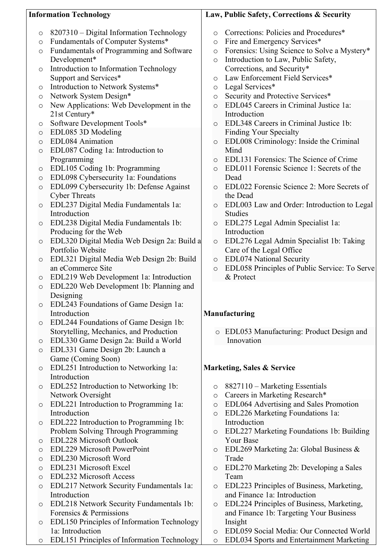| <b>Information Technology</b> |                                                                 | Law, Public Safety, Corrections & Security                        |
|-------------------------------|-----------------------------------------------------------------|-------------------------------------------------------------------|
|                               |                                                                 |                                                                   |
| $\circ$                       | 8207310 – Digital Information Technology                        | Corrections: Policies and Procedures*<br>$\circ$                  |
| $\circlearrowright$           | Fundamentals of Computer Systems*                               | Fire and Emergency Services*<br>O                                 |
| $\circ$                       | Fundamentals of Programming and Software                        | Forensics: Using Science to Solve a Mystery*<br>$\circ$           |
|                               | Development*                                                    | Introduction to Law, Public Safety,<br>$\circ$                    |
| $\circ$                       | Introduction to Information Technology                          | Corrections, and Security*                                        |
|                               | Support and Services*                                           | Law Enforcement Field Services*<br>$\circ$                        |
| O                             | Introduction to Network Systems*                                | Legal Services*<br>O                                              |
| $\circ$                       | Network System Design*                                          | Security and Protective Services*<br>$\circ$                      |
| $\circlearrowright$           | New Applications: Web Development in the                        | EDL045 Careers in Criminal Justice 1a:<br>$\circ$                 |
|                               | 21st Century*                                                   | Introduction                                                      |
| O                             | Software Development Tools*                                     | EDL348 Careers in Criminal Justice 1b:<br>$\circ$                 |
| $\circ$                       | EDL085 3D Modeling                                              | <b>Finding Your Specialty</b>                                     |
| $\circ$                       | EDL084 Animation                                                | EDL008 Criminology: Inside the Criminal<br>$\circ$                |
| $\circ$                       | EDL087 Coding 1a: Introduction to                               | Mind                                                              |
|                               | Programming                                                     | EDL131 Forensics: The Science of Crime<br>$\circ$                 |
| $\circ$                       | EDL105 Coding 1b: Programming                                   | EDL011 Forensic Science 1: Secrets of the<br>$\circ$              |
| $\circ$                       | EDL098 Cybersecurity 1a: Foundations                            | Dead                                                              |
| $\bigcirc$                    | EDL099 Cybersecurity 1b: Defense Against                        | EDL022 Forensic Science 2: More Secrets of<br>$\circ$<br>the Dead |
|                               | <b>Cyber Threats</b>                                            |                                                                   |
| $\circ$                       | EDL237 Digital Media Fundamentals 1a:<br>Introduction           | EDL003 Law and Order: Introduction to Legal<br>$\circ$<br>Studies |
|                               | EDL238 Digital Media Fundamentals 1b:                           | EDL275 Legal Admin Specialist 1a:                                 |
| $\circ$                       | Producing for the Web                                           | $\circ$<br>Introduction                                           |
| $\circ$                       | EDL320 Digital Media Web Design 2a: Build a                     | EDL276 Legal Admin Specialist 1b: Taking<br>$\circ$               |
|                               | Portfolio Website                                               | Care of the Legal Office                                          |
| $\circ$                       | EDL321 Digital Media Web Design 2b: Build                       | <b>EDL074 National Security</b><br>$\circ$                        |
|                               | an eCommerce Site                                               | EDL058 Principles of Public Service: To Serve<br>$\circ$          |
| $\circ$                       | EDL219 Web Development 1a: Introduction                         | & Protect                                                         |
| $\circ$                       | EDL220 Web Development 1b: Planning and                         |                                                                   |
|                               | Designing                                                       |                                                                   |
| $\circ$                       | EDL243 Foundations of Game Design 1a:                           |                                                                   |
|                               | Introduction                                                    | Manufacturing                                                     |
| $\circ$                       | EDL244 Foundations of Game Design 1b:                           |                                                                   |
|                               | Storytelling, Mechanics, and Production                         | o EDL053 Manufacturing: Product Design and                        |
| $\circ$                       | EDL330 Game Design 2a: Build a World                            | Innovation                                                        |
| $\circ$                       | EDL331 Game Design 2b: Launch a                                 |                                                                   |
|                               | Game (Coming Soon)                                              |                                                                   |
| $\circ$                       | EDL251 Introduction to Networking 1a:                           | <b>Marketing, Sales &amp; Service</b>                             |
|                               | Introduction                                                    |                                                                   |
| $\circ$                       | EDL252 Introduction to Networking 1b:                           | 8827110 – Marketing Essentials<br>O                               |
|                               | Network Oversight                                               | Careers in Marketing Research*<br>O                               |
| $\circ$                       | EDL221 Introduction to Programming 1a:                          | EDL064 Advertising and Sales Promotion<br>$\circ$                 |
|                               | Introduction                                                    | EDL226 Marketing Foundations 1a:<br>$\circ$                       |
| $\circ$                       | EDL222 Introduction to Programming 1b:                          | Introduction                                                      |
|                               | Problem Solving Through Programming                             | EDL227 Marketing Foundations 1b: Building<br>$\circ$              |
| $\circ$                       | <b>EDL228 Microsoft Outlook</b>                                 | Your Base                                                         |
| O                             | EDL229 Microsoft PowerPoint                                     | EDL269 Marketing 2a: Global Business &<br>$\circ$                 |
| $\circ$                       | EDL230 Microsoft Word                                           | Trade                                                             |
| $\circ$                       | EDL231 Microsoft Excel                                          | EDL270 Marketing 2b: Developing a Sales<br>$\circ$                |
| $\circ$                       | EDL232 Microsoft Access                                         | Team                                                              |
| $\circ$                       | EDL217 Network Security Fundamentals 1a:                        | EDL223 Principles of Business, Marketing,<br>$\circ$              |
|                               | Introduction                                                    | and Finance 1a: Introduction                                      |
| $\circ$                       | EDL218 Network Security Fundamentals 1b:                        | EDL224 Principles of Business, Marketing,<br>$\circ$              |
|                               | Forensics & Permissions                                         | and Finance 1b: Targeting Your Business<br>Insight                |
| $\circ$                       | EDL150 Principles of Information Technology<br>1a: Introduction | EDL059 Social Media: Our Connected World                          |
|                               | EDL151 Principles of Information Technology                     | $\circ$<br>EDL034 Sports and Entertainment Marketing<br>$\circ$   |
| $\circ$                       |                                                                 |                                                                   |